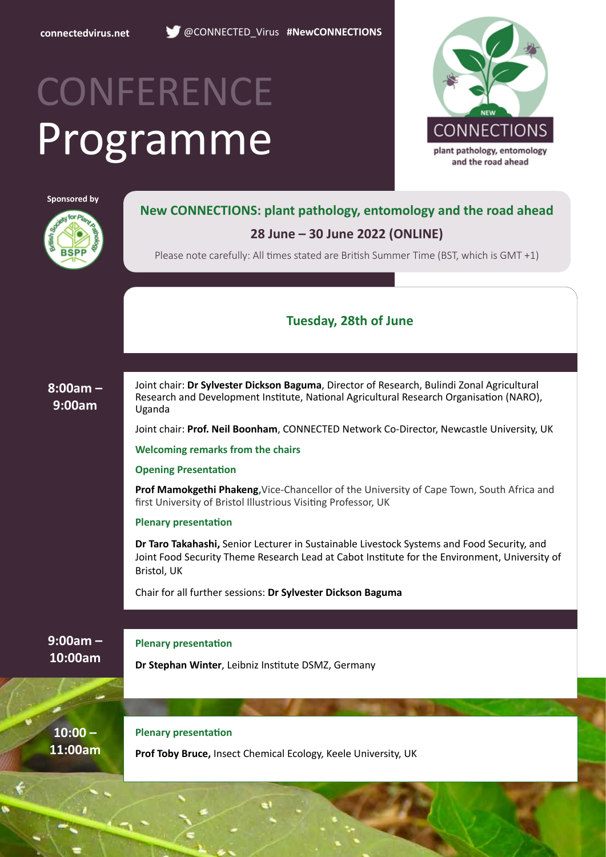

**connectedvirus.net** @CONNECTED\_Virus **#NewCONNECTIONS**

# Programme **CONFERENCE**



**Sponsored by**



**New CONNECTIONS: plant pathology, entomology and the road ahead**

### **28 June – 30 June 2022 (ONLINE)**

Please note carefully: All times stated are British Summer Time (BST, which is GMT +1)

### **Tuesday, 28th of June**

**8:00am – 9:00am**

Joint chair: **Dr Sylvester Dickson Baguma**, Director of Research, Bulindi Zonal Agricultural Research and Development Institute, National Agricultural Research Organisation (NARO), Uganda

Joint chair: **Prof. Neil Boonham**, CONNECTED Network Co-Director, Newcastle University, UK

**Welcoming remarks from the chairs**

#### **Opening Presentation**

**Prof Mamokgethi Phakeng,**Vice-Chancellor of the University of Cape Town, South Africa and first University of Bristol Illustrious Visiting Professor, UK

**Plenary presentation**

**Dr Taro Takahashi,** Senior Lecturer in Sustainable Livestock Systems and Food Security, and Joint Food Security Theme Research Lead at Cabot Institute for the Environment, University of Bristol, UK

Chair for all further sessions: **Dr Sylvester Dickson Baguma**

**9:00am – 10:00am**

**Plenary presentation**

**Dr Stephan Winter**, Leibniz Institute DSMZ, Germany

**10:00 – 11:00am** **Plenary presentation**

**Prof Toby Bruce,** Insect Chemical Ecology, Keele University, UK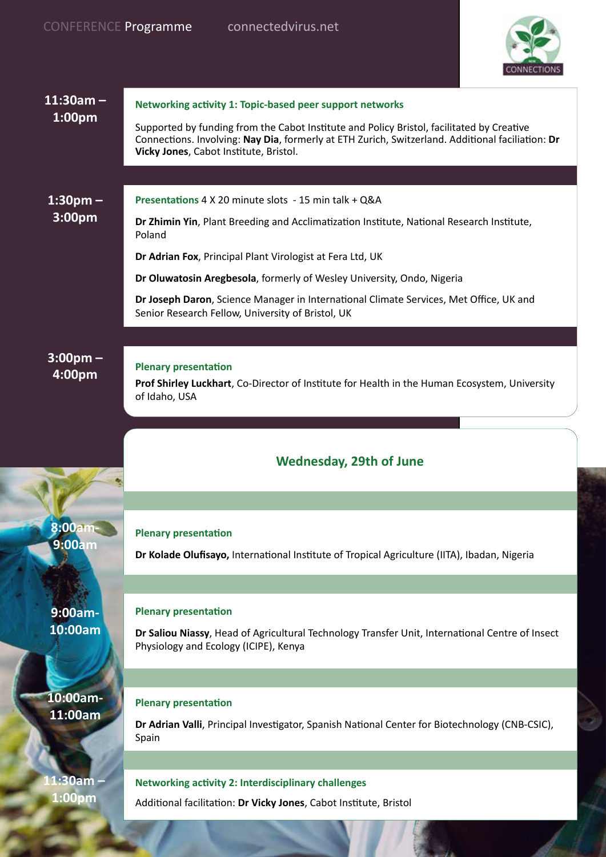

| $11:30am -$             | Networking activity 1: Topic-based peer support networks                                                                                                                                                                                |
|-------------------------|-----------------------------------------------------------------------------------------------------------------------------------------------------------------------------------------------------------------------------------------|
| 1:00 <sub>pm</sub>      | Supported by funding from the Cabot Institute and Policy Bristol, facilitated by Creative<br>Connections. Involving: Nay Dia, formerly at ETH Zurich, Switzerland. Additional faciliation: Dr<br>Vicky Jones, Cabot Institute, Bristol. |
|                         |                                                                                                                                                                                                                                         |
| $1:30 \text{pm} -$      | Presentations 4 X 20 minute slots - 15 min talk + Q&A                                                                                                                                                                                   |
| 3:00pm                  | Dr Zhimin Yin, Plant Breeding and Acclimatization Institute, National Research Institute,<br>Poland                                                                                                                                     |
|                         | Dr Adrian Fox, Principal Plant Virologist at Fera Ltd, UK                                                                                                                                                                               |
|                         | Dr Oluwatosin Aregbesola, formerly of Wesley University, Ondo, Nigeria                                                                                                                                                                  |
|                         | Dr Joseph Daron, Science Manager in International Climate Services, Met Office, UK and<br>Senior Research Fellow, University of Bristol, UK                                                                                             |
|                         |                                                                                                                                                                                                                                         |
| $3:00$ pm $-$<br>4:00pm | <b>Plenary presentation</b><br>Prof Shirley Luckhart, Co-Director of Institute for Health in the Human Ecosystem, University<br>of Idaho, USA                                                                                           |
|                         |                                                                                                                                                                                                                                         |
|                         |                                                                                                                                                                                                                                         |
|                         | <b>Wednesday, 29th of June</b>                                                                                                                                                                                                          |
|                         |                                                                                                                                                                                                                                         |
| <b>8:00am</b>           |                                                                                                                                                                                                                                         |
| <b>9:00am</b>           | <b>Plenary presentation</b><br>Dr Kolade Olufisayo, International Institute of Tropical Agriculture (IITA), Ibadan, Nigeria                                                                                                             |
|                         |                                                                                                                                                                                                                                         |
|                         | <b>Plenary presentation</b>                                                                                                                                                                                                             |
| 9:00am-<br>10:00am      | Dr Saliou Niassy, Head of Agricultural Technology Transfer Unit, International Centre of Insect<br>Physiology and Ecology (ICIPE), Kenya                                                                                                |
|                         |                                                                                                                                                                                                                                         |
| 10:00am-                | <b>Plenary presentation</b>                                                                                                                                                                                                             |
| 11:00am                 | Dr Adrian Valli, Principal Investigator, Spanish National Center for Biotechnology (CNB-CSIC),<br>Spain                                                                                                                                 |
|                         |                                                                                                                                                                                                                                         |
| 1:30am                  | <b>Networking activity 2: Interdisciplinary challenges</b>                                                                                                                                                                              |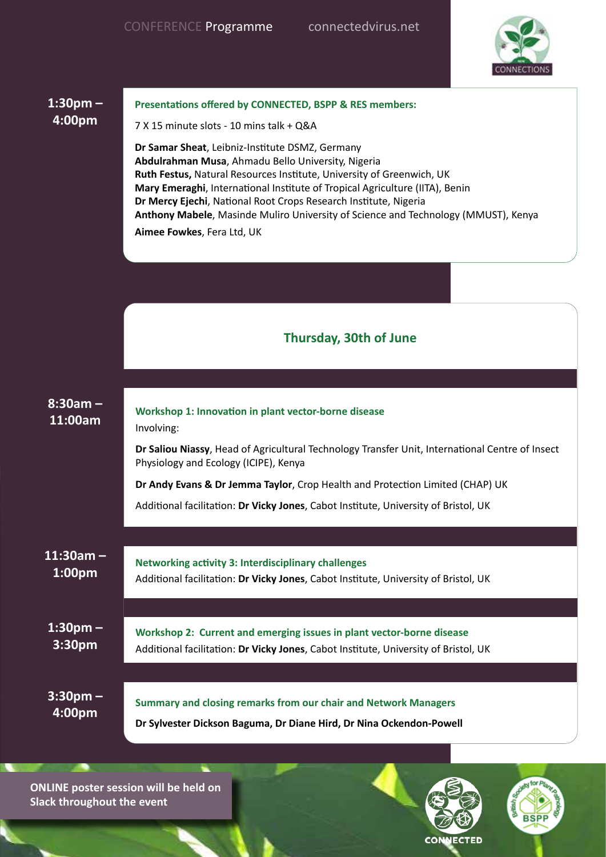

| $1:30pm -$                          | Presentations offered by CONNECTED, BSPP & RES members:                                                                                                                                                                                                                                                                                                                                                                                                |
|-------------------------------------|--------------------------------------------------------------------------------------------------------------------------------------------------------------------------------------------------------------------------------------------------------------------------------------------------------------------------------------------------------------------------------------------------------------------------------------------------------|
| 4:00pm                              | 7 X 15 minute slots - 10 mins talk + Q&A                                                                                                                                                                                                                                                                                                                                                                                                               |
|                                     | Dr Samar Sheat, Leibniz-Institute DSMZ, Germany<br>Abdulrahman Musa, Ahmadu Bello University, Nigeria<br>Ruth Festus, Natural Resources Institute, University of Greenwich, UK<br>Mary Emeraghi, International Institute of Tropical Agriculture (IITA), Benin<br>Dr Mercy Ejechi, National Root Crops Research Institute, Nigeria<br>Anthony Mabele, Masinde Muliro University of Science and Technology (MMUST), Kenya<br>Aimee Fowkes, Fera Ltd, UK |
|                                     |                                                                                                                                                                                                                                                                                                                                                                                                                                                        |
|                                     | <b>Thursday, 30th of June</b>                                                                                                                                                                                                                                                                                                                                                                                                                          |
|                                     |                                                                                                                                                                                                                                                                                                                                                                                                                                                        |
| $8:30am -$<br>11:00am               | Workshop 1: Innovation in plant vector-borne disease<br>Involving:                                                                                                                                                                                                                                                                                                                                                                                     |
|                                     | Dr Saliou Niassy, Head of Agricultural Technology Transfer Unit, International Centre of Insect<br>Physiology and Ecology (ICIPE), Kenya                                                                                                                                                                                                                                                                                                               |
|                                     | Dr Andy Evans & Dr Jemma Taylor, Crop Health and Protection Limited (CHAP) UK                                                                                                                                                                                                                                                                                                                                                                          |
|                                     | Additional facilitation: Dr Vicky Jones, Cabot Institute, University of Bristol, UK                                                                                                                                                                                                                                                                                                                                                                    |
|                                     |                                                                                                                                                                                                                                                                                                                                                                                                                                                        |
| $11:30am -$<br>1:00 <sub>pm</sub>   | <b>Networking activity 3: Interdisciplinary challenges</b><br>Additional facilitation: Dr Vicky Jones, Cabot Institute, University of Bristol, UK                                                                                                                                                                                                                                                                                                      |
|                                     |                                                                                                                                                                                                                                                                                                                                                                                                                                                        |
| $1:30$ pm $-$<br>3:30 <sub>pm</sub> | Workshop 2: Current and emerging issues in plant vector-borne disease<br>Additional facilitation: Dr Vicky Jones, Cabot Institute, University of Bristol, UK                                                                                                                                                                                                                                                                                           |
|                                     |                                                                                                                                                                                                                                                                                                                                                                                                                                                        |
| $3:30$ pm –<br>4:00pm               | Summary and closing remarks from our chair and Network Managers<br>Dr Sylvester Dickson Baguma, Dr Diane Hird, Dr Nina Ockendon-Powell                                                                                                                                                                                                                                                                                                                 |

**ONLINE poster session will be held on Slack throughout the event**

 $\overline{\phantom{a}}$ 

**NUMBER OF STREET** 



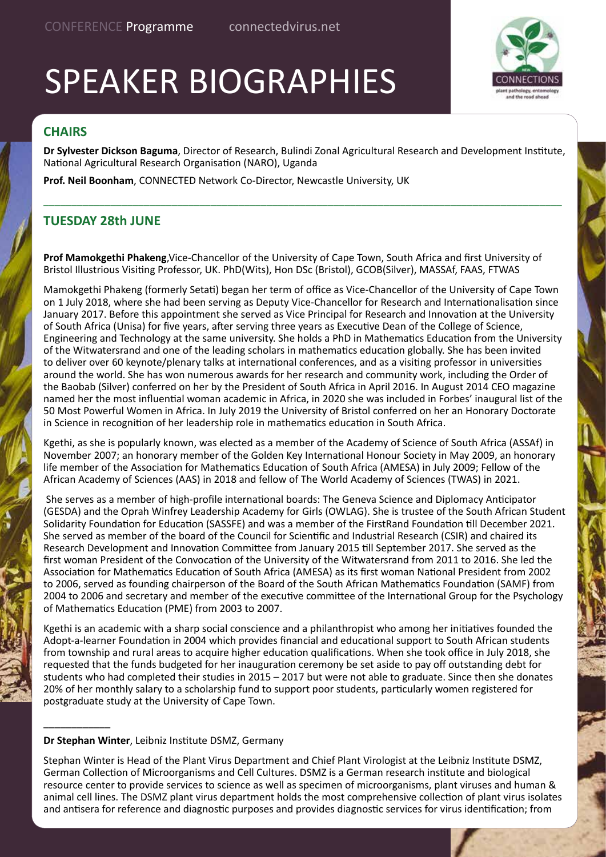# SPEAKER BIOGRAPHIES



### **CHAIRS**

**Dr Sylvester Dickson Baguma**, Director of Research, Bulindi Zonal Agricultural Research and Development Institute, National Agricultural Research Organisation (NARO), Uganda

\_\_\_\_\_\_\_\_\_\_\_\_\_\_\_\_\_\_\_\_\_\_\_\_\_\_\_\_\_\_\_\_\_\_\_\_\_\_\_\_\_\_\_\_\_\_\_\_\_\_\_\_\_\_\_\_\_\_\_\_\_\_\_\_\_\_\_\_\_\_\_\_\_\_\_\_\_\_\_\_\_\_\_\_\_\_\_\_\_\_\_\_\_

**Prof. Neil Boonham**, CONNECTED Network Co-Director, Newcastle University, UK

### **TUESDAY 28th JUNE**

**Prof Mamokgethi Phakeng**,Vice-Chancellor of the University of Cape Town, South Africa and first University of Bristol Illustrious Visiting Professor, UK. PhD(Wits), Hon DSc (Bristol), GCOB(Silver), MASSAf, FAAS, FTWAS

Mamokgethi Phakeng (formerly Setati) began her term of office as Vice-Chancellor of the University of Cape Town on 1 July 2018, where she had been serving as Deputy Vice-Chancellor for Research and Internationalisation since January 2017. Before this appointment she served as Vice Principal for Research and Innovation at the University of South Africa (Unisa) for five years, after serving three years as Executive Dean of the College of Science, Engineering and Technology at the same university. She holds a PhD in Mathematics Education from the University of the Witwatersrand and one of the leading scholars in mathematics education globally. She has been invited to deliver over 60 keynote/plenary talks at international conferences, and as a visiting professor in universities around the world. She has won numerous awards for her research and community work, including the Order of the Baobab (Silver) conferred on her by the President of South Africa in April 2016. In August 2014 CEO magazine named her the most influential woman academic in Africa, in 2020 she was included in Forbes' inaugural list of the 50 Most Powerful Women in Africa. In July 2019 the University of Bristol conferred on her an Honorary Doctorate in Science in recognition of her leadership role in mathematics education in South Africa.

Kgethi, as she is popularly known, was elected as a member of the Academy of Science of South Africa (ASSAf) in November 2007; an honorary member of the Golden Key International Honour Society in May 2009, an honorary life member of the Association for Mathematics Education of South Africa (AMESA) in July 2009; Fellow of the African Academy of Sciences (AAS) in 2018 and fellow of The World Academy of Sciences (TWAS) in 2021.

 She serves as a member of high-profile international boards: The Geneva Science and Diplomacy Anticipator (GESDA) and the Oprah Winfrey Leadership Academy for Girls (OWLAG). She is trustee of the South African Student Solidarity Foundation for Education (SASSFE) and was a member of the FirstRand Foundation till December 2021. She served as member of the board of the Council for Scientific and Industrial Research (CSIR) and chaired its Research Development and Innovation Committee from January 2015 till September 2017. She served as the first woman President of the Convocation of the University of the Witwatersrand from 2011 to 2016. She led the Association for Mathematics Education of South Africa (AMESA) as its first woman National President from 2002 to 2006, served as founding chairperson of the Board of the South African Mathematics Foundation (SAMF) from 2004 to 2006 and secretary and member of the executive committee of the International Group for the Psychology of Mathematics Education (PME) from 2003 to 2007.

Kgethi is an academic with a sharp social conscience and a philanthropist who among her initiatives founded the Adopt-a-learner Foundation in 2004 which provides financial and educational support to South African students from township and rural areas to acquire higher education qualifications. When she took office in July 2018, she requested that the funds budgeted for her inauguration ceremony be set aside to pay off outstanding debt for students who had completed their studies in 2015 – 2017 but were not able to graduate. Since then she donates 20% of her monthly salary to a scholarship fund to support poor students, particularly women registered for postgraduate study at the University of Cape Town.

#### **Dr Stephan Winter**, Leibniz Institute DSMZ, Germany

\_\_\_\_\_\_\_\_\_\_\_\_

Stephan Winter is Head of the Plant Virus Department and Chief Plant Virologist at the Leibniz Institute DSMZ, German Collection of Microorganisms and Cell Cultures. DSMZ is a German research institute and biological resource center to provide services to science as well as specimen of microorganisms, plant viruses and human & animal cell lines. The DSMZ plant virus department holds the most comprehensive collection of plant virus isolates and antisera for reference and diagnostic purposes and provides diagnostic services for virus identification; from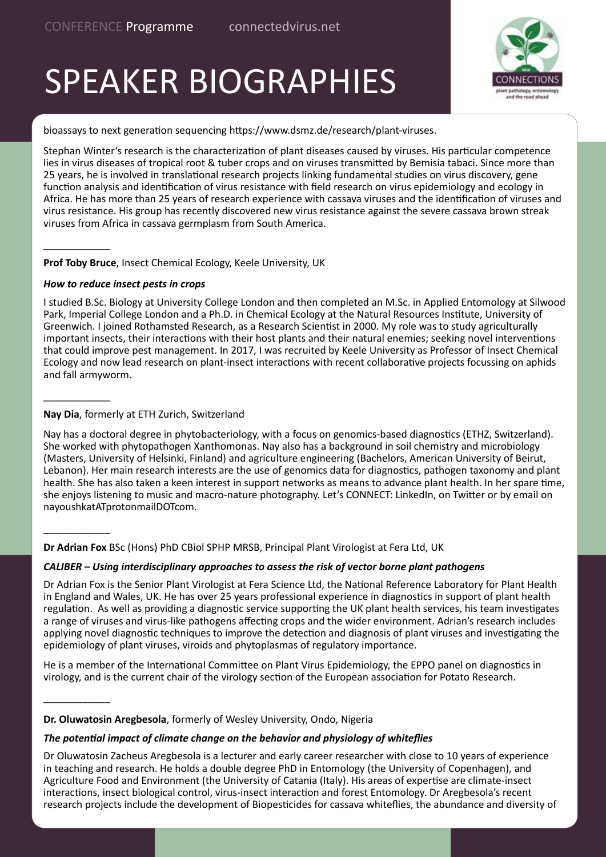# SPEAKER BIOGRAPHIES



bioassays to next generation sequencing https://www.dsmz.de/research/plant-viruses.

Stephan Winter's research is the characterization of plant diseases caused by viruses. His particular competence lies in virus diseases of tropical root & tuber crops and on viruses transmitted by Bemisia tabaci. Since more than 25 years, he is involved in translational research projects linking fundamental studies on virus discovery, gene function analysis and identification of virus resistance with field research on virus epidemiology and ecology in Africa. He has more than 25 years of research experience with cassava viruses and the identification of viruses and virus resistance. His group has recently discovered new virus resistance against the severe cassava brown streak viruses from Africa in cassava germplasm from South America.

**Prof Toby Bruce**, Insect Chemical Ecology, Keele University, UK

#### *How to reduce insect pests in crops*

\_\_\_\_\_\_\_\_\_\_\_\_

\_\_\_\_\_\_\_\_\_\_\_\_

\_\_\_\_\_\_\_\_\_\_\_\_

\_\_\_\_\_\_\_\_\_\_\_\_

I studied B.Sc. Biology at University College London and then completed an M.Sc. in Applied Entomology at Silwood Park, Imperial College London and a Ph.D. in Chemical Ecology at the Natural Resources Institute, University of Greenwich. I joined Rothamsted Research, as a Research Scientist in 2000. My role was to study agriculturally important insects, their interactions with their host plants and their natural enemies; seeking novel interventions that could improve pest management. In 2017, I was recruited by Keele University as Professor of Insect Chemical Ecology and now lead research on plant-insect interactions with recent collaborative projects focussing on aphids and fall armyworm.

#### **Nay Dia**, formerly at ETH Zurich, Switzerland

Nay has a doctoral degree in phytobacteriology, with a focus on genomics-based diagnostics (ETHZ, Switzerland). She worked with phytopathogen Xanthomonas. Nay also has a background in soil chemistry and microbiology (Masters, University of Helsinki, Finland) and agriculture engineering (Bachelors, American University of Beirut, Lebanon). Her main research interests are the use of genomics data for diagnostics, pathogen taxonomy and plant health. She has also taken a keen interest in support networks as means to advance plant health. In her spare time, she enjoys listening to music and macro-nature photography. Let's CONNECT: LinkedIn, on Twitter or by email on nayoushkatATprotonmailDOTcom.

**Dr Adrian Fox** BSc (Hons) PhD CBiol SPHP MRSB, Principal Plant Virologist at Fera Ltd, UK

#### *CALIBER – Using interdisciplinary approaches to assess the risk of vector borne plant pathogens*

Dr Adrian Fox is the Senior Plant Virologist at Fera Science Ltd, the National Reference Laboratory for Plant Health in England and Wales, UK. He has over 25 years professional experience in diagnostics in support of plant health regulation. As well as providing a diagnostic service supporting the UK plant health services, his team investigates a range of viruses and virus-like pathogens affecting crops and the wider environment. Adrian's research includes applying novel diagnostic techniques to improve the detection and diagnosis of plant viruses and investigating the epidemiology of plant viruses, viroids and phytoplasmas of regulatory importance.

He is a member of the International Committee on Plant Virus Epidemiology, the EPPO panel on diagnostics in virology, and is the current chair of the virology section of the European association for Potato Research.

**Dr. Oluwatosin Aregbesola**, formerly of Wesley University, Ondo, Nigeria

#### *The potential impact of climate change on the behavior and physiology of whiteflies*

Dr Oluwatosin Zacheus Aregbesola is a lecturer and early career researcher with close to 10 years of experience in teaching and research. He holds a double degree PhD in Entomology (the University of Copenhagen), and Agriculture Food and Environment (the University of Catania (Italy). His areas of expertise are climate-insect interactions, insect biological control, virus-insect interaction and forest Entomology. Dr Aregbesola's recent research projects include the development of Biopesticides for cassava whiteflies, the abundance and diversity of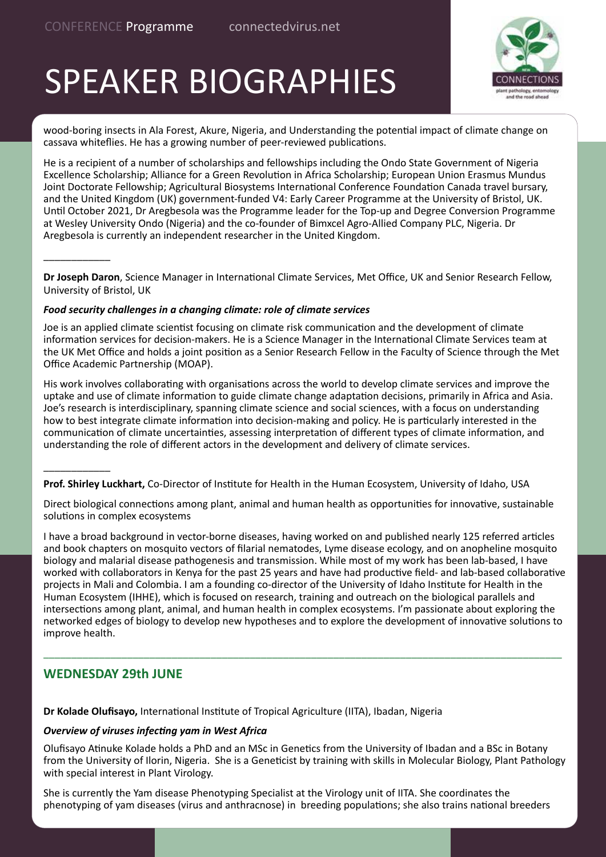\_\_\_\_\_\_\_\_\_\_\_\_

\_\_\_\_\_\_\_\_\_\_\_\_

# SPEAKER BIOGRAPHIES



wood-boring insects in Ala Forest, Akure, Nigeria, and Understanding the potential impact of climate change on cassava whiteflies. He has a growing number of peer-reviewed publications.

He is a recipient of a number of scholarships and fellowships including the Ondo State Government of Nigeria Excellence Scholarship; Alliance for a Green Revolution in Africa Scholarship; European Union Erasmus Mundus Joint Doctorate Fellowship; Agricultural Biosystems International Conference Foundation Canada travel bursary, and the United Kingdom (UK) government-funded V4: Early Career Programme at the University of Bristol, UK. Until October 2021, Dr Aregbesola was the Programme leader for the Top-up and Degree Conversion Programme at Wesley University Ondo (Nigeria) and the co-founder of Bimxcel Agro-Allied Company PLC, Nigeria. Dr Aregbesola is currently an independent researcher in the United Kingdom.

**Dr Joseph Daron**, Science Manager in International Climate Services, Met Office, UK and Senior Research Fellow, University of Bristol, UK

#### *Food security challenges in a changing climate: role of climate services*

Joe is an applied climate scientist focusing on climate risk communication and the development of climate information services for decision-makers. He is a Science Manager in the International Climate Services team at the UK Met Office and holds a joint position as a Senior Research Fellow in the Faculty of Science through the Met Office Academic Partnership (MOAP).

His work involves collaborating with organisations across the world to develop climate services and improve the uptake and use of climate information to guide climate change adaptation decisions, primarily in Africa and Asia. Joe's research is interdisciplinary, spanning climate science and social sciences, with a focus on understanding how to best integrate climate information into decision-making and policy. He is particularly interested in the communication of climate uncertainties, assessing interpretation of different types of climate information, and understanding the role of different actors in the development and delivery of climate services.

**Prof. Shirley Luckhart,** Co-Director of Institute for Health in the Human Ecosystem, University of Idaho, USA

Direct biological connections among plant, animal and human health as opportunities for innovative, sustainable solutions in complex ecosystems

I have a broad background in vector-borne diseases, having worked on and published nearly 125 referred articles and book chapters on mosquito vectors of filarial nematodes, Lyme disease ecology, and on anopheline mosquito biology and malarial disease pathogenesis and transmission. While most of my work has been lab-based, I have worked with collaborators in Kenya for the past 25 years and have had productive field- and lab-based collaborative projects in Mali and Colombia. I am a founding co-director of the University of Idaho Institute for Health in the Human Ecosystem (IHHE), which is focused on research, training and outreach on the biological parallels and intersections among plant, animal, and human health in complex ecosystems. I'm passionate about exploring the networked edges of biology to develop new hypotheses and to explore the development of innovative solutions to improve health.

\_\_\_\_\_\_\_\_\_\_\_\_\_\_\_\_\_\_\_\_\_\_\_\_\_\_\_\_\_\_\_\_\_\_\_\_\_\_\_\_\_\_\_\_\_\_\_\_\_\_\_\_\_\_\_\_\_\_\_\_\_\_\_\_\_\_\_\_\_\_\_\_\_\_\_\_\_\_\_\_\_\_\_\_\_\_\_\_\_\_\_\_\_

#### **WEDNESDAY 29th JUNE**

**Dr Kolade Olufisayo,** International Institute of Tropical Agriculture (IITA), Ibadan, Nigeria

#### *Overview of viruses infecting yam in West Africa*

Olufisayo Atinuke Kolade holds a PhD and an MSc in Genetics from the University of Ibadan and a BSc in Botany from the University of Ilorin, Nigeria. She is a Geneticist by training with skills in Molecular Biology, Plant Pathology with special interest in Plant Virology.

She is currently the Yam disease Phenotyping Specialist at the Virology unit of IITA. She coordinates the phenotyping of yam diseases (virus and anthracnose) in breeding populations; she also trains national breeders